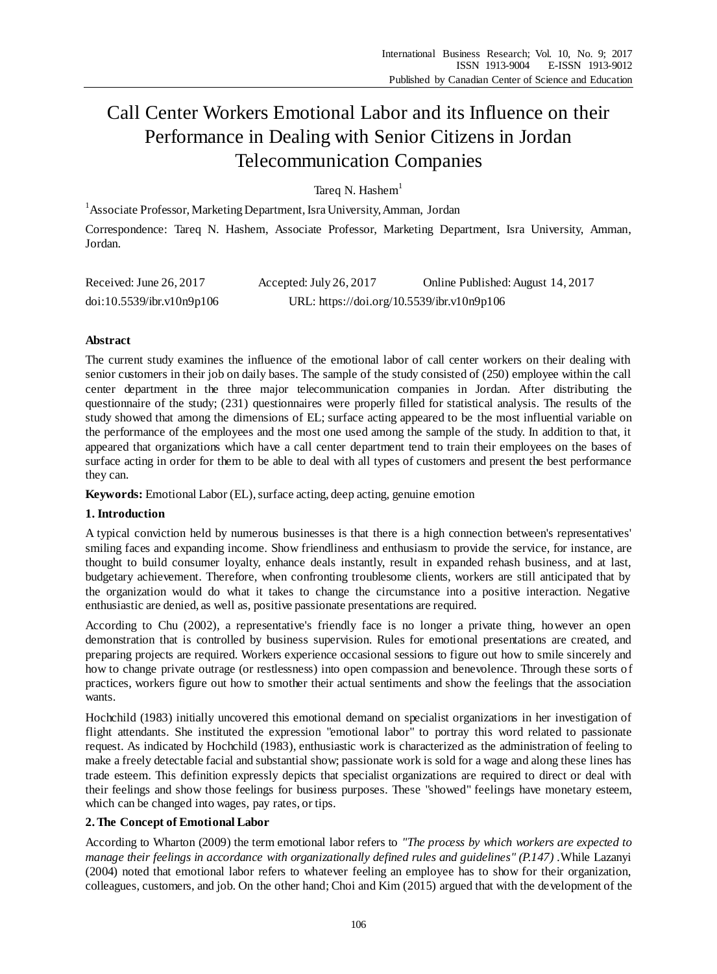# Call Center Workers Emotional Labor and its Influence on their Performance in Dealing with Senior Citizens in Jordan Telecommunication Companies

Tareq N. Hashem $<sup>1</sup>$ </sup>

<sup>1</sup> Associate Professor, Marketing Department, Isra University, Amman, Jordan

Correspondence: Tareq N. Hashem, Associate Professor, Marketing Department, Isra University, Amman, Jordan.

| Received: June $26, 2017$ | Accepted: July 26, 2017                    | Online Published: August 14, 2017 |
|---------------------------|--------------------------------------------|-----------------------------------|
| doi:10.5539/ibr.v10n9p106 | URL: https://doi.org/10.5539/ibr.v10n9p106 |                                   |

# **Abstract**

The current study examines the influence of the emotional labor of call center workers on their dealing with senior customers in their job on daily bases. The sample of the study consisted of (250) employee within the call center department in the three major telecommunication companies in Jordan. After distributing the questionnaire of the study; (231) questionnaires were properly filled for statistical analysis. The results of the study showed that among the dimensions of EL; surface acting appeared to be the most influential variable on the performance of the employees and the most one used among the sample of the study. In addition to that, it appeared that organizations which have a call center department tend to train their employees on the bases of surface acting in order for them to be able to deal with all types of customers and present the best performance they can.

**Keywords:** Emotional Labor (EL), surface acting, deep acting, genuine emotion

## **1. Introduction**

A typical conviction held by numerous businesses is that there is a high connection between's representatives' smiling faces and expanding income. Show friendliness and enthusiasm to provide the service, for instance, are thought to build consumer loyalty, enhance deals instantly, result in expanded rehash business, and at last, budgetary achievement. Therefore, when confronting troublesome clients, workers are still anticipated that by the organization would do what it takes to change the circumstance into a positive interaction. Negative enthusiastic are denied, as well as, positive passionate presentations are required.

According to Chu (2002), a representative's friendly face is no longer a private thing, however an open demonstration that is controlled by business supervision. Rules for emotional presentations are created, and preparing projects are required. Workers experience occasional sessions to figure out how to smile sincerely and how to change private outrage (or restlessness) into open compassion and benevolence. Through these sorts of practices, workers figure out how to smother their actual sentiments and show the feelings that the association wants.

Hochchild (1983) initially uncovered this emotional demand on specialist organizations in her investigation of flight attendants. She instituted the expression "emotional labor" to portray this word related to passionate request. As indicated by Hochchild (1983), enthusiastic work is characterized as the administration of feeling to make a freely detectable facial and substantial show; passionate work is sold for a wage and along these lines has trade esteem. This definition expressly depicts that specialist organizations are required to direct or deal with their feelings and show those feelings for business purposes. These "showed" feelings have monetary esteem, which can be changed into wages, pay rates, or tips.

## **2. The Concept of Emotional Labor**

According to Wharton (2009) the term emotional labor refers to *"The process by which workers are expected to manage their feelings in accordance with organizationally defined rules and guidelines" (P.147) .*While Lazanyi (2004) noted that emotional labor refers to whatever feeling an employee has to show for their organization, colleagues, customers, and job. On the other hand; Choi and Kim (2015) argued that with the development of the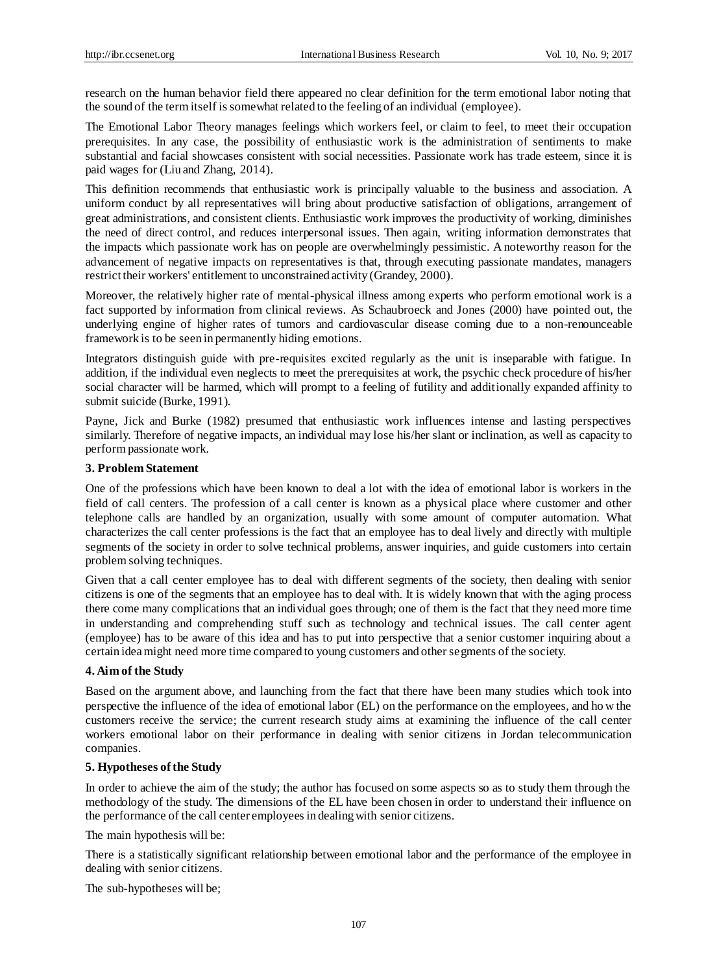research on the human behavior field there appeared no clear definition for the term emotional labor noting that the sound of the term itself is somewhat related to the feeling of an individual (employee).

The Emotional Labor Theory manages feelings which workers feel, or claim to feel, to meet their occupation prerequisites. In any case, the possibility of enthusiastic work is the administration of sentiments to make substantial and facial showcases consistent with social necessities. Passionate work has trade esteem, since it is paid wages for (Liu and Zhang, 2014).

This definition recommends that enthusiastic work is principally valuable to the business and association. A uniform conduct by all representatives will bring about productive satisfaction of obligations, arrangement of great administrations, and consistent clients. Enthusiastic work improves the productivity of working, diminishes the need of direct control, and reduces interpersonal issues. Then again, writing information demonstrates that the impacts which passionate work has on people are overwhelmingly pessimistic. A noteworthy reason for the advancement of negative impacts on representatives is that, through executing passionate mandates, managers restrict their workers' entitlement to unconstrained activity (Grandey, 2000).

Moreover, the relatively higher rate of mental-physical illness among experts who perform emotional work is a fact supported by information from clinical reviews. As Schaubroeck and Jones (2000) have pointed out, the underlying engine of higher rates of tumors and cardiovascular disease coming due to a non-renounceable framework is to be seen in permanently hiding emotions.

Integrators distinguish guide with pre-requisites excited regularly as the unit is inseparable with fatigue. In addition, if the individual even neglects to meet the prerequisites at work, the psychic check procedure of his/her social character will be harmed, which will prompt to a feeling of futility and additionally expanded affinity to submit suicide (Burke, 1991).

Payne, Jick and Burke (1982) presumed that enthusiastic work influences intense and lasting perspectives similarly. Therefore of negative impacts, an individual may lose his/her slant or inclination, as well as capacity to perform passionate work.

# **3. Problem Statement**

One of the professions which have been known to deal a lot with the idea of emotional labor is workers in the field of call centers. The profession of a call center is known as a physical place where customer and other telephone calls are handled by an organization, usually with some amount of computer automation. What characterizes the call center professions is the fact that an employee has to deal lively and directly with multiple segments of the society in order to solve technical problems, answer inquiries, and guide customers into certain problem solving techniques.

Given that a call center employee has to deal with different segments of the society, then dealing with senior citizens is one of the segments that an employee has to deal with. It is widely known that with the aging process there come many complications that an individual goes through; one of them is the fact that they need more time in understanding and comprehending stuff such as technology and technical issues. The call center agent (employee) has to be aware of this idea and has to put into perspective that a senior customer inquiring about a certain idea might need more time compared to young customers and other segments of the society.

#### **4. Aim of the Study**

Based on the argument above, and launching from the fact that there have been many studies which took into perspective the influence of the idea of emotional labor (EL) on the performance on the employees, and ho w the customers receive the service; the current research study aims at examining the influence of the call center workers emotional labor on their performance in dealing with senior citizens in Jordan telecommunication companies.

#### **5. Hypotheses of the Study**

In order to achieve the aim of the study; the author has focused on some aspects so as to study them through the methodology of the study. The dimensions of the EL have been chosen in order to understand their influence on the performance of the call center employees in dealing with senior citizens.

The main hypothesis will be:

There is a statistically significant relationship between emotional labor and the performance of the employee in dealing with senior citizens.

The sub-hypotheses will be;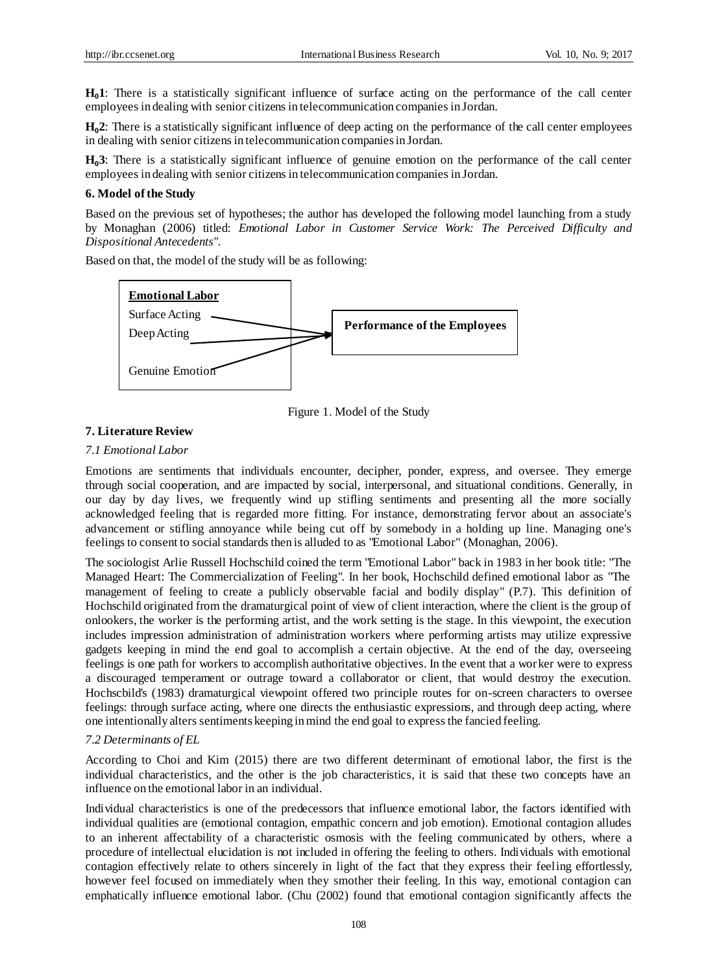**H01**: There is a statistically significant influence of surface acting on the performance of the call center employees in dealing with senior citizens in telecommunication companies in Jordan.

**H02**: There is a statistically significant influence of deep acting on the performance of the call center employees in dealing with senior citizens in telecommunication companies in Jordan.

**H03**: There is a statistically significant influence of genuine emotion on the performance of the call center employees in dealing with senior citizens in telecommunication companies in Jordan.

#### **6. Model of the Study**

Based on the previous set of hypotheses; the author has developed the following model launching from a study by Monaghan (2006) titled: *Emotional Labor in Customer Service Work: The Perceived Difficulty and Dispositional Antecedents".*

Based on that, the model of the study will be as following:



Figure 1. Model of the Study

# **7. Literature Review**

## *7.1 Emotional Labor*

Emotions are sentiments that individuals encounter, decipher, ponder, express, and oversee. They emerge through social cooperation, and are impacted by social, interpersonal, and situational conditions. Generally, in our day by day lives, we frequently wind up stifling sentiments and presenting all the more socially acknowledged feeling that is regarded more fitting. For instance, demonstrating fervor about an associate's advancement or stifling annoyance while being cut off by somebody in a holding up line. Managing one's feelings to consent to social standards then is alluded to as "Emotional Labor" (Monaghan, 2006).

The sociologist Arlie Russell Hochschild coined the term "Emotional Labor" back in 1983 in her book title: "The Managed Heart: The Commercialization of Feeling". In her book, Hochschild defined emotional labor as "The management of feeling to create a publicly observable facial and bodily display" (P.7). This definition of Hochschild originated from the dramaturgical point of view of client interaction, where the client is the group of onlookers, the worker is the performing artist, and the work setting is the stage. In this viewpoint, the execution includes impression administration of administration workers where performing artists may utilize expressive gadgets keeping in mind the end goal to accomplish a certain objective. At the end of the day, overseeing feelings is one path for workers to accomplish authoritative objectives. In the event that a worker were to express a discouraged temperament or outrage toward a collaborator or client, that would destroy the execution. Hochscbild's (1983) dramaturgical viewpoint offered two principle routes for on-screen characters to oversee feelings: through surface acting, where one directs the enthusiastic expressions, and through deep acting, where one intentionally alters sentiments keeping in mind the end goal to express the fancied feeling.

#### *7.2 Determinants of EL*

According to Choi and Kim (2015) there are two different determinant of emotional labor, the first is the individual characteristics, and the other is the job characteristics, it is said that these two concepts have an influence on the emotional labor in an individual.

Individual characteristics is one of the predecessors that influence emotional labor, the factors identified with individual qualities are (emotional contagion, empathic concern and job emotion). Emotional contagion alludes to an inherent affectability of a characteristic osmosis with the feeling communicated by others, where a procedure of intellectual elucidation is not included in offering the feeling to others. Individuals with emotional contagion effectively relate to others sincerely in light of the fact that they express their feeling effortlessly, however feel focused on immediately when they smother their feeling. In this way, emotional contagion can emphatically influence emotional labor. (Chu (2002) found that emotional contagion significantly affects the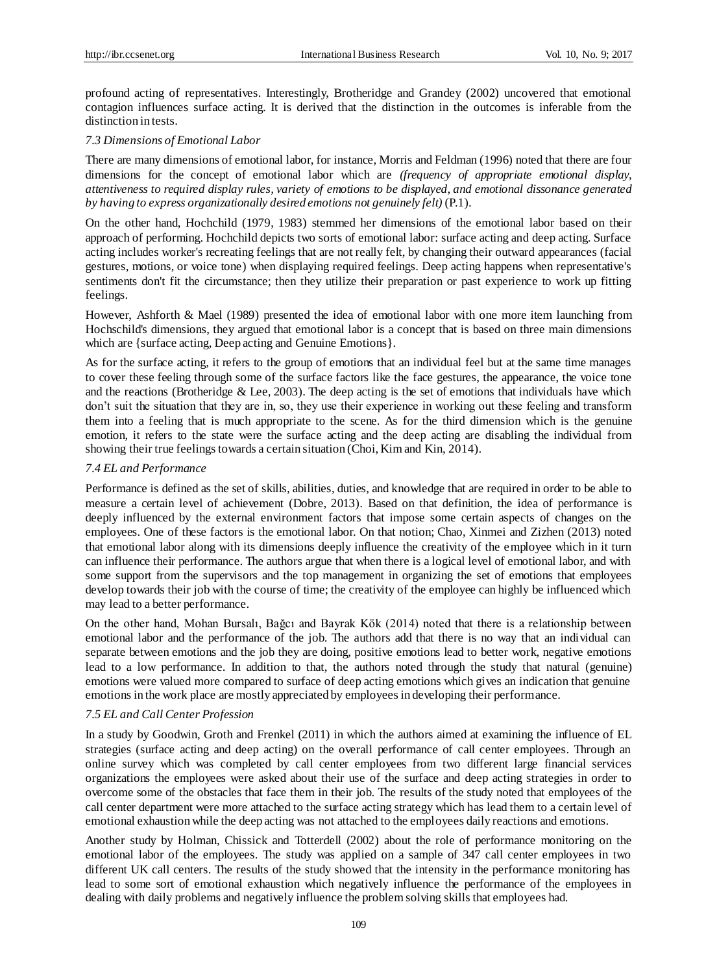profound acting of representatives. Interestingly, Brotheridge and Grandey (2002) uncovered that emotional contagion influences surface acting. It is derived that the distinction in the outcomes is inferable from the distinction in tests.

#### *7.3 Dimensions of Emotional Labor*

There are many dimensions of emotional labor, for instance, Morris and Feldman (1996) noted that there are four dimensions for the concept of emotional labor which are *(frequency of appropriate emotional display, attentiveness to required display rules, variety of emotions to be displayed, and emotional dissonance generated by having to express organizationally desired emotions not genuinely felt)* (P.1).

On the other hand, Hochchild (1979, 1983) stemmed her dimensions of the emotional labor based on their approach of performing. Hochchild depicts two sorts of emotional labor: surface acting and deep acting. Surface acting includes worker's recreating feelings that are not really felt, by changing their outward appearances (facial gestures, motions, or voice tone) when displaying required feelings. Deep acting happens when representative's sentiments don't fit the circumstance; then they utilize their preparation or past experience to work up fitting feelings.

However, Ashforth & Mael (1989) presented the idea of emotional labor with one more item launching from Hochschild's dimensions, they argued that emotional labor is a concept that is based on three main dimensions which are {surface acting, Deep acting and Genuine Emotions}.

As for the surface acting, it refers to the group of emotions that an individual feel but at the same time manages to cover these feeling through some of the surface factors like the face gestures, the appearance, the voice tone and the reactions (Brotheridge & Lee, 2003). The deep acting is the set of emotions that individuals have which don't suit the situation that they are in, so, they use their experience in working out these feeling and transform them into a feeling that is much appropriate to the scene. As for the third dimension which is the genuine emotion, it refers to the state were the surface acting and the deep acting are disabling the individual from showing their true feelings towards a certain situation (Choi, Kim and Kin, 2014).

## *7.4 EL and Performance*

Performance is defined as the set of skills, abilities, duties, and knowledge that are required in order to be able to measure a certain level of achievement (Dobre, 2013). Based on that definition, the idea of performance is deeply influenced by the external environment factors that impose some certain aspects of changes on the employees. One of these factors is the emotional labor. On that notion; Chao, Xinmei and Zizhen (2013) noted that emotional labor along with its dimensions deeply influence the creativity of the employee which in it turn can influence their performance. The authors argue that when there is a logical level of emotional labor, and with some support from the supervisors and the top management in organizing the set of emotions that employees develop towards their job with the course of time; the creativity of the employee can highly be influenced which may lead to a better performance.

On the other hand, Mohan Bursalı, Bağcı and Bayrak Kök (2014) noted that there is a relationship between emotional labor and the performance of the job. The authors add that there is no way that an individual can separate between emotions and the job they are doing, positive emotions lead to better work, negative emotions lead to a low performance. In addition to that, the authors noted through the study that natural (genuine) emotions were valued more compared to surface of deep acting emotions which gives an indication that genuine emotions in the work place are mostly appreciated by employees in developing their performance.

## *7.5 EL and Call Center Profession*

In a study by Goodwin, Groth and Frenkel (2011) in which the authors aimed at examining the influence of EL strategies (surface acting and deep acting) on the overall performance of call center employees. Through an online survey which was completed by call center employees from two different large financial services organizations the employees were asked about their use of the surface and deep acting strategies in order to overcome some of the obstacles that face them in their job. The results of the study noted that employees of the call center department were more attached to the surface acting strategy which has lead them to a certain level of emotional exhaustion while the deep acting was not attached to the employees daily reactions and emotions.

Another study by Holman, Chissick and Totterdell (2002) about the role of performance monitoring on the emotional labor of the employees. The study was applied on a sample of 347 call center employees in two different UK call centers. The results of the study showed that the intensity in the performance monitoring has lead to some sort of emotional exhaustion which negatively influence the performance of the employees in dealing with daily problems and negatively influence the problem solving skills that employees had.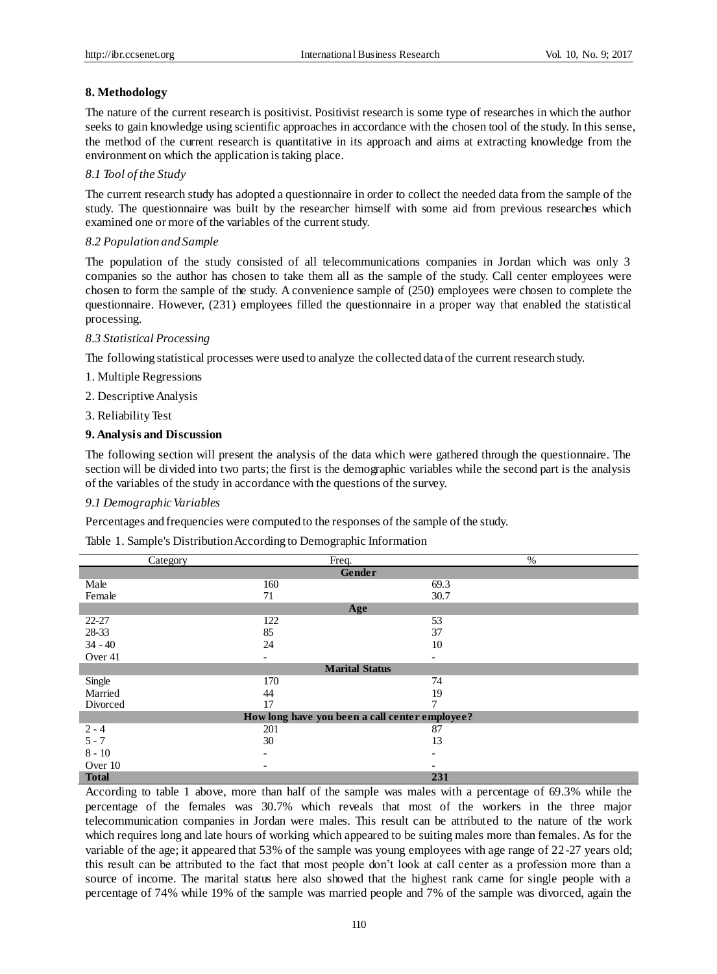## **8. Methodology**

The nature of the current research is positivist. Positivist research is some type of researches in which the author seeks to gain knowledge using scientific approaches in accordance with the chosen tool of the study. In this sense, the method of the current research is quantitative in its approach and aims at extracting knowledge from the environment on which the application is taking place.

#### *8.1 Tool of the Study*

The current research study has adopted a questionnaire in order to collect the needed data from the sample of the study. The questionnaire was built by the researcher himself with some aid from previous researches which examined one or more of the variables of the current study.

#### *8.2 Population and Sample*

The population of the study consisted of all telecommunications companies in Jordan which was only 3 companies so the author has chosen to take them all as the sample of the study. Call center employees were chosen to form the sample of the study. A convenience sample of (250) employees were chosen to complete the questionnaire. However, (231) employees filled the questionnaire in a proper way that enabled the statistical processing.

#### *8.3 Statistical Processing*

The following statistical processes were used to analyze the collected data of the current research study.

- 1. Multiple Regressions
- 2. Descriptive Analysis
- 3. Reliability Test

#### **9. Analysis and Discussion**

The following section will present the analysis of the data which were gathered through the questionnaire. The section will be divided into two parts; the first is the demographic variables while the second part is the analysis of the variables of the study in accordance with the questions of the survey.

## *9.1 Demographic Variables*

Percentages and frequencies were computed to the responses of the sample of the study.

Table 1. Sample's Distribution According to Demographic Information

| Category     | Freq.                                          | $\%$                     |  |
|--------------|------------------------------------------------|--------------------------|--|
| Gender       |                                                |                          |  |
| Male         | 160                                            | 69.3                     |  |
| Female       | 71                                             | 30.7                     |  |
|              | Age                                            |                          |  |
| $22 - 27$    | 122                                            | 53                       |  |
| 28-33        | 85                                             | 37                       |  |
| $34 - 40$    | 24                                             | 10                       |  |
| Over 41      | -                                              | $\overline{\phantom{a}}$ |  |
|              | <b>Marital Status</b>                          |                          |  |
| Single       | 170                                            | 74                       |  |
| Married      | 44                                             | 19                       |  |
| Divorced     | 17                                             |                          |  |
|              | How long have you been a call center employee? |                          |  |
| $2 - 4$      | 201                                            | 87                       |  |
| $5 - 7$      | 30                                             | 13                       |  |
| $8 - 10$     |                                                |                          |  |
| Over 10      | $\overline{\phantom{0}}$                       | $\overline{\phantom{0}}$ |  |
| <b>Total</b> |                                                | 231                      |  |

According to table 1 above, more than half of the sample was males with a percentage of 69.3% while the percentage of the females was 30.7% which reveals that most of the workers in the three major telecommunication companies in Jordan were males. This result can be attributed to the nature of the work which requires long and late hours of working which appeared to be suiting males more than females. As for the variable of the age; it appeared that 53% of the sample was young employees with age range of 22-27 years old; this result can be attributed to the fact that most people don't look at call center as a profession more than a source of income. The marital status here also showed that the highest rank came for single people with a percentage of 74% while 19% of the sample was married people and 7% of the sample was divorced, again the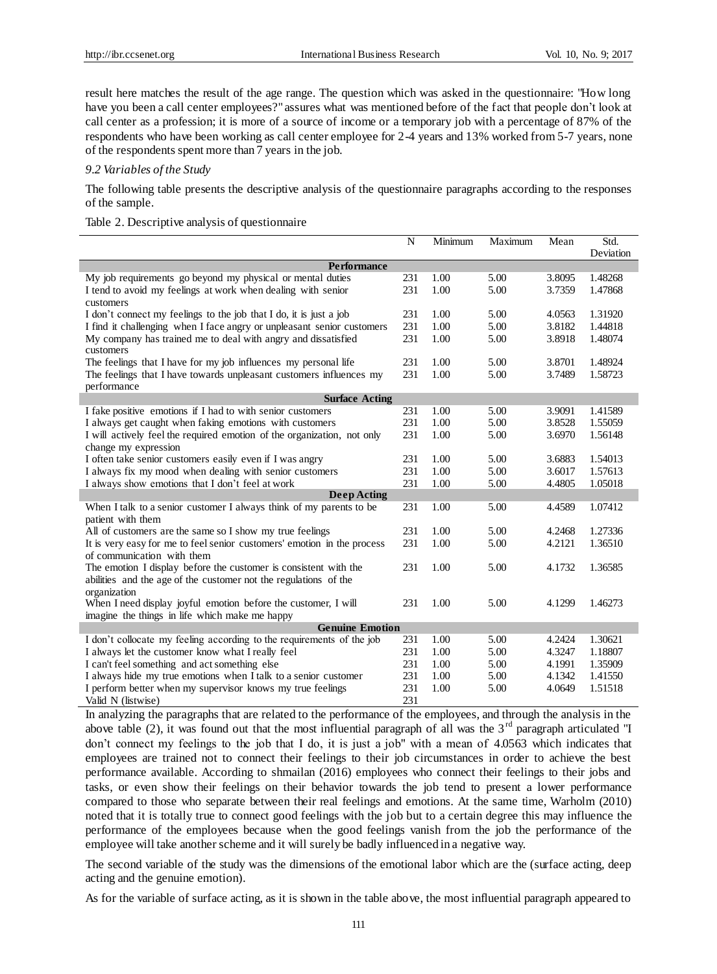result here matches the result of the age range. The question which was asked in the questionnaire: "How long have you been a call center employees?" assures what was mentioned before of the fact that people don't look at call center as a profession; it is more of a source of income or a temporary job with a percentage of 87% of the respondents who have been working as call center employee for 2-4 years and 13% worked from 5-7 years, none of the respondents spent more than 7 years in the job.

## *9.2 Variables of the Study*

The following table presents the descriptive analysis of the questionnaire paragraphs according to the responses of the sample.

Table 2. Descriptive analysis of questionnaire

|                                                                                 | N   | Minimum | Maximum | Mean   | Std.      |
|---------------------------------------------------------------------------------|-----|---------|---------|--------|-----------|
| <b>Performance</b>                                                              |     |         |         |        | Deviation |
| My job requirements go beyond my physical or mental duties                      | 231 | 1.00    | 5.00    | 3.8095 | 1.48268   |
| I tend to avoid my feelings at work when dealing with senior                    | 231 | 1.00    | 5.00    | 3.7359 | 1.47868   |
|                                                                                 |     |         |         |        |           |
| customers<br>I don't connect my feelings to the job that I do, it is just a job | 231 | 1.00    | 5.00    | 4.0563 | 1.31920   |
| I find it challenging when I face angry or unpleasant senior customers          | 231 | 1.00    | 5.00    | 3.8182 | 1.44818   |
| My company has trained me to deal with angry and dissatisfied                   | 231 | 1.00    | 5.00    | 3.8918 | 1.48074   |
| customers                                                                       |     |         |         |        |           |
| The feelings that I have for my job influences my personal life                 | 231 | 1.00    | 5.00    | 3.8701 | 1.48924   |
| The feelings that I have towards unpleasant customers influences my             | 231 | 1.00    | 5.00    | 3.7489 | 1.58723   |
| performance                                                                     |     |         |         |        |           |
| <b>Surface Acting</b>                                                           |     |         |         |        |           |
| I fake positive emotions if I had to with senior customers                      | 231 | 1.00    | 5.00    | 3.9091 | 1.41589   |
| I always get caught when faking emotions with customers                         | 231 | 1.00    | 5.00    | 3.8528 | 1.55059   |
| I will actively feel the required emotion of the organization, not only         | 231 | 1.00    | 5.00    | 3.6970 | 1.56148   |
| change my expression                                                            |     |         |         |        |           |
| I often take senior customers easily even if I was angry                        | 231 | 1.00    | 5.00    | 3.6883 | 1.54013   |
| I always fix my mood when dealing with senior customers                         | 231 | 1.00    | 5.00    | 3.6017 | 1.57613   |
| I always show emotions that I don't feel at work                                | 231 | 1.00    | 5.00    | 4.4805 | 1.05018   |
| <b>Deep Acting</b>                                                              |     |         |         |        |           |
| When I talk to a senior customer I always think of my parents to be             | 231 | 1.00    | 5.00    | 4.4589 | 1.07412   |
| patient with them                                                               |     |         |         |        |           |
| All of customers are the same so I show my true feelings                        | 231 | 1.00    | 5.00    | 4.2468 | 1.27336   |
| It is very easy for me to feel senior customers' emotion in the process         | 231 | 1.00    | 5.00    | 4.2121 | 1.36510   |
| of communication with them                                                      |     |         |         |        |           |
| The emotion I display before the customer is consistent with the                | 231 | 1.00    | 5.00    | 4.1732 | 1.36585   |
| abilities and the age of the customer not the regulations of the                |     |         |         |        |           |
| organization                                                                    |     |         |         |        |           |
| When I need display joyful emotion before the customer, I will                  | 231 | 1.00    | 5.00    | 4.1299 | 1.46273   |
| imagine the things in life which make me happy                                  |     |         |         |        |           |
| <b>Genuine Emotion</b>                                                          |     |         |         |        |           |
| I don't collocate my feeling according to the requirements of the job           | 231 | 1.00    | 5.00    | 4.2424 | 1.30621   |
| I always let the customer know what I really feel                               | 231 | 1.00    | 5.00    | 4.3247 | 1.18807   |
| I can't feel something and act something else                                   | 231 | 1.00    | 5.00    | 4.1991 | 1.35909   |
| I always hide my true emotions when I talk to a senior customer                 | 231 | 1.00    | 5.00    | 4.1342 | 1.41550   |
| I perform better when my supervisor knows my true feelings                      | 231 | 1.00    | 5.00    | 4.0649 | 1.51518   |
| Valid N (listwise)                                                              | 231 |         |         |        |           |

In analyzing the paragraphs that are related to the performance of the employees, and through the analysis in the above table (2), it was found out that the most influential paragraph of all was the  $3<sup>rd</sup>$  paragraph articulated "I don't connect my feelings to the job that I do, it is just a job" with a mean of 4.0563 which indicates that employees are trained not to connect their feelings to their job circumstances in order to achieve the best performance available. According to shmailan (2016) employees who connect their feelings to their jobs and tasks, or even show their feelings on their behavior towards the job tend to present a lower performance compared to those who separate between their real feelings and emotions. At the same time, Warholm (2010) noted that it is totally true to connect good feelings with the job but to a certain degree this may influence the performance of the employees because when the good feelings vanish from the job the performance of the employee will take another scheme and it will surely be badly influenced in a negative way.

The second variable of the study was the dimensions of the emotional labor which are the (surface acting, deep acting and the genuine emotion).

As for the variable of surface acting, as it is shown in the table above, the most influential paragraph appeared to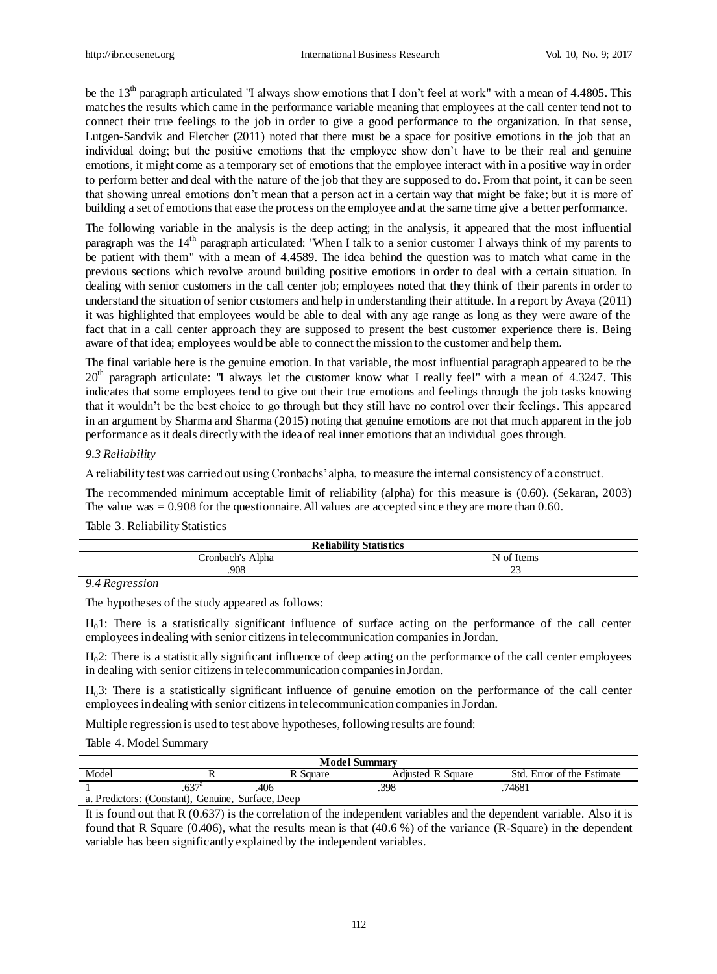be the 13<sup>th</sup> paragraph articulated "I always show emotions that I don't feel at work" with a mean of 4.4805. This matches the results which came in the performance variable meaning that employees at the call center tend not to connect their true feelings to the job in order to give a good performance to the organization. In that sense, Lutgen-Sandvik and Fletcher (2011) noted that there must be a space for positive emotions in the job that an individual doing; but the positive emotions that the employee show don't have to be their real and genuine emotions, it might come as a temporary set of emotions that the employee interact with in a positive way in order to perform better and deal with the nature of the job that they are supposed to do. From that point, it can be seen that showing unreal emotions don't mean that a person act in a certain way that might be fake; but it is more of building a set of emotions that ease the process on the employee and at the same time give a better performance.

The following variable in the analysis is the deep acting; in the analysis, it appeared that the most influential paragraph was the  $14<sup>th</sup>$  paragraph articulated: "When I talk to a senior customer I always think of my parents to be patient with them" with a mean of 4.4589. The idea behind the question was to match what came in the previous sections which revolve around building positive emotions in order to deal with a certain situation. In dealing with senior customers in the call center job; employees noted that they think of their parents in order to understand the situation of senior customers and help in understanding their attitude. In a report by Avaya (2011) it was highlighted that employees would be able to deal with any age range as long as they were aware of the fact that in a call center approach they are supposed to present the best customer experience there is. Being aware of that idea; employees would be able to connect the mission to the customer and help them.

The final variable here is the genuine emotion. In that variable, the most influential paragraph appeared to be the  $20<sup>th</sup>$  paragraph articulate: "I always let the customer know what I really feel" with a mean of 4.3247. This indicates that some employees tend to give out their true emotions and feelings through the job tasks knowing that it wouldn't be the best choice to go through but they still have no control over their feelings. This appeared in an argument by Sharma and Sharma (2015) noting that genuine emotions are not that much apparent in the job performance as it deals directly with the idea of real inner emotions that an individual goes through.

# *9.3 Reliability*

A reliability test was carried out using Cronbachs' alpha, to measure the internal consistency of a construct.

The recommended minimum acceptable limit of reliability (alpha) for this measure is (0.60). (Sekaran, 2003) The value was = 0.908 for the questionnaire. All values are accepted since they are more than 0.60.

Table 3. Reliability Statistics

| <b>Reliability Statistics</b> |                  |  |  |  |
|-------------------------------|------------------|--|--|--|
| Cronbach's Alpha              | N<br>ot<br>Items |  |  |  |
| 908                           | $\sim$<br>دے     |  |  |  |
| $\sim$ $\sim$                 |                  |  |  |  |

## *9.4 Regression*

The hypotheses of the study appeared as follows:

H01: There is a statistically significant influence of surface acting on the performance of the call center employees in dealing with senior citizens in telecommunication companies in Jordan.

H02: There is a statistically significant influence of deep acting on the performance of the call center employees in dealing with senior citizens in telecommunication companies in Jordan.

H03: There is a statistically significant influence of genuine emotion on the performance of the call center employees in dealing with senior citizens in telecommunication companies in Jordan.

Multiple regression is used to test above hypotheses, following results are found:

Table 4. Model Summary

| <b>Model Summary</b>                              |  |          |                   |                            |
|---------------------------------------------------|--|----------|-------------------|----------------------------|
| Model                                             |  | R Square | Adjusted R Square | Std. Error of the Estimate |
|                                                   |  | 406      | .398              | 74681                      |
| a. Predictors: (Constant), Genuine, Surface, Deep |  |          |                   |                            |

It is found out that R (0.637) is the correlation of the independent variables and the dependent variable. Also it is found that R Square (0.406), what the results mean is that (40.6 %) of the variance (R-Square) in the dependent variable has been significantly explained by the independent variables.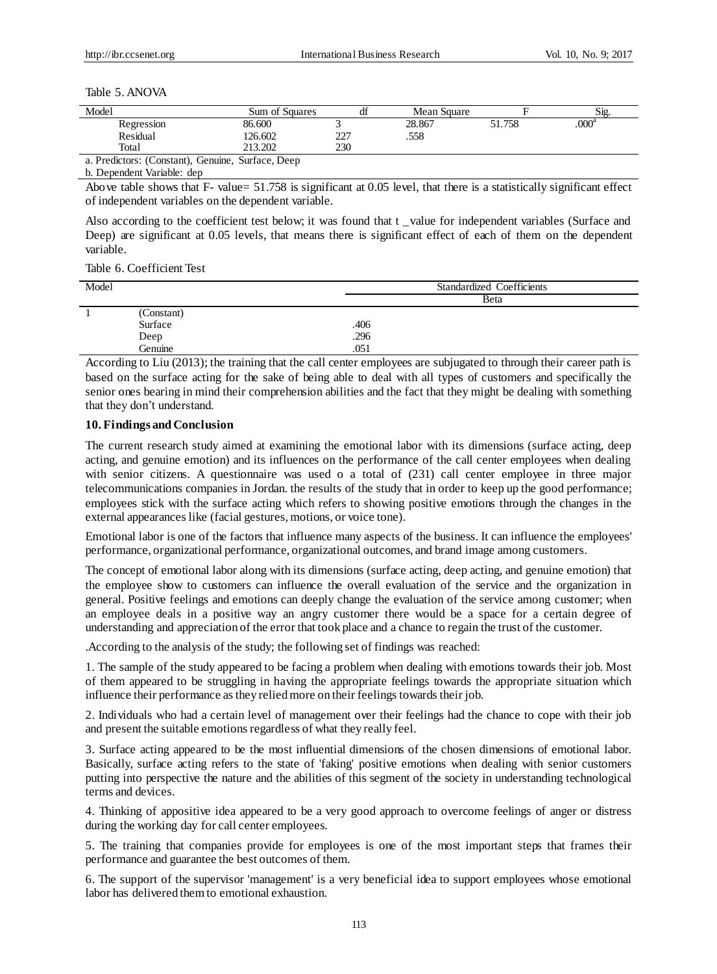#### Table 5. ANOVA

| Model                                             | Sum of Squares | df  | Mean Square |        | Sig.              |
|---------------------------------------------------|----------------|-----|-------------|--------|-------------------|
| Regression                                        | 86.600         |     | 28.867      | 51.758 | .000 <sup>a</sup> |
| Residual                                          | 126.602        | 227 | .558        |        |                   |
| Total                                             | 213.202        | 230 |             |        |                   |
| a. Predictors: (Constant), Genuine, Surface, Deep |                |     |             |        |                   |

b. Dependent Variable: dep

Above table shows that F- value= 51.758 is significant at 0.05 level, that there is a statistically significant effect of independent variables on the dependent variable.

Also according to the coefficient test below; it was found that t \_value for independent variables (Surface and Deep) are significant at 0.05 levels, that means there is significant effect of each of them on the dependent variable.

Table 6. Coefficient Test

| Model |                 | <b>Standardized Coefficients</b> |
|-------|-----------------|----------------------------------|
|       |                 | Beta                             |
|       | (Constant)      |                                  |
|       | Surface         | .406                             |
|       |                 | .296                             |
|       | Deep<br>Genuine | .051                             |

According to Liu (2013); the training that the call center employees are subjugated to through their career path is based on the surface acting for the sake of being able to deal with all types of customers and specifically the senior ones bearing in mind their comprehension abilities and the fact that they might be dealing with something that they don't understand.

#### **10. Findings and Conclusion**

The current research study aimed at examining the emotional labor with its dimensions (surface acting, deep acting, and genuine emotion) and its influences on the performance of the call center employees when dealing with senior citizens. A questionnaire was used o a total of (231) call center employee in three major telecommunications companies in Jordan. the results of the study that in order to keep up the good performance; employees stick with the surface acting which refers to showing positive emotions through the changes in the external appearances like (facial gestures, motions, or voice tone).

Emotional labor is one of the factors that influence many aspects of the business. It can influence the employees' performance, organizational performance, organizational outcomes, and brand image among customers.

The concept of emotional labor along with its dimensions (surface acting, deep acting, and genuine emotion) that the employee show to customers can influence the overall evaluation of the service and the organization in general. Positive feelings and emotions can deeply change the evaluation of the service among customer; when an employee deals in a positive way an angry customer there would be a space for a certain degree of understanding and appreciation of the error that took place and a chance to regain the trust of the customer.

.According to the analysis of the study; the following set of findings was reached:

1. The sample of the study appeared to be facing a problem when dealing with emotions towards their job. Most of them appeared to be struggling in having the appropriate feelings towards the appropriate situation which influence their performance as they relied more on their feelings towards their job.

2. Individuals who had a certain level of management over their feelings had the chance to cope with their job and present the suitable emotions regardless of what they really feel.

3. Surface acting appeared to be the most influential dimensions of the chosen dimensions of emotional labor. Basically, surface acting refers to the state of 'faking' positive emotions when dealing with senior customers putting into perspective the nature and the abilities of this segment of the society in understanding technological terms and devices.

4. Thinking of appositive idea appeared to be a very good approach to overcome feelings of anger or distress during the working day for call center employees.

5. The training that companies provide for employees is one of the most important steps that frames their performance and guarantee the best outcomes of them.

6. The support of the supervisor 'management' is a very beneficial idea to support employees whose emotional labor has delivered them to emotional exhaustion.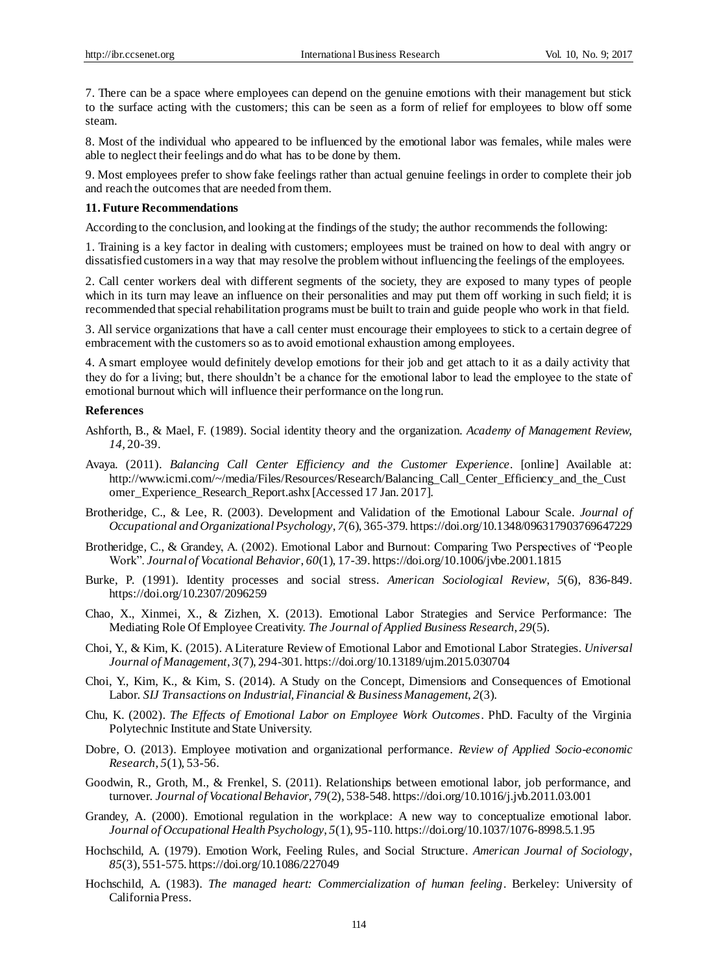7. There can be a space where employees can depend on the genuine emotions with their management but stick to the surface acting with the customers; this can be seen as a form of relief for employees to blow off some steam.

8. Most of the individual who appeared to be influenced by the emotional labor was females, while males were able to neglect their feelings and do what has to be done by them.

9. Most employees prefer to show fake feelings rather than actual genuine feelings in order to complete their job and reach the outcomes that are needed from them.

#### **11. Future Recommendations**

According to the conclusion, and looking at the findings of the study; the author recommends the following:

1. Training is a key factor in dealing with customers; employees must be trained on how to deal with angry or dissatisfied customers in a way that may resolve the problem without influencing the feelings of the employees.

2. Call center workers deal with different segments of the society, they are exposed to many types of people which in its turn may leave an influence on their personalities and may put them off working in such field; it is recommended that special rehabilitation programs must be built to train and guide people who work in that field.

3. All service organizations that have a call center must encourage their employees to stick to a certain degree of embracement with the customers so as to avoid emotional exhaustion among employees.

4. A smart employee would definitely develop emotions for their job and get attach to it as a daily activity that they do for a living; but, there shouldn't be a chance for the emotional labor to lead the employee to the state of emotional burnout which will influence their performance on the long run.

#### **References**

- Ashforth, B., & Mael, F. (1989). Social identity theory and the organization. *Academy of Management Review, 14,* 20-39.
- Avaya. (2011). *Balancing Call Center Efficiency and the Customer Experience*. [online] Available at: http://www.icmi.com/~/media/Files/Resources/Research/Balancing\_Call\_Center\_Efficiency\_and\_the\_Cust omer\_Experience\_Research\_Report.ashx [Accessed 17 Jan. 2017].
- Brotheridge, C., & Lee, R. (2003). Development and Validation of the Emotional Labour Scale. *Journal of Occupational and Organizational Psychology*, *7*(6), 365-379. https://doi.org/10.1348/096317903769647229
- Brotheridge, C., & Grandey, A. (2002). Emotional Labor and Burnout: Comparing Two Perspectives of "People Work". *Journal of Vocational Behavior*, *60*(1), 17-39. https://doi.org/10.1006/jvbe.2001.1815
- Burke, P. (1991). Identity processes and social stress. *American Sociological Review*, *5*(6), 836-849. https://doi.org/10.2307/2096259
- Chao, X., Xinmei, X., & Zizhen, X. (2013). Emotional Labor Strategies and Service Performance: The Mediating Role Of Employee Creativity. *The Journal of Applied Business Research*, *29*(5).
- Choi, Y., & Kim, K. (2015). A Literature Review of Emotional Labor and Emotional Labor Strategies. *Universal Journal of Management*, *3*(7), 294-301. https://doi.org/10.13189/ujm.2015.030704
- Choi, Y., Kim, K., & Kim, S. (2014). A Study on the Concept, Dimensions and Consequences of Emotional Labor. *SIJ Transactions on Industrial, Financial & Business Management*, *2*(3).
- Chu, K. (2002). *The Effects of Emotional Labor on Employee Work Outcomes*. PhD. Faculty of the Virginia Polytechnic Institute and State University.
- Dobre, O. (2013). Employee motivation and organizational performance. *Review of Applied Socio-economic Research*, *5*(1), 53-56.
- Goodwin, R., Groth, M., & Frenkel, S. (2011). Relationships between emotional labor, job performance, and turnover. *Journal of Vocational Behavior*, *79*(2), 538-548. https://doi.org/10.1016/j.jvb.2011.03.001
- Grandey, A. (2000). Emotional regulation in the workplace: A new way to conceptualize emotional labor. *Journal of Occupational Health Psychology*, *5*(1), 95-110. https://doi.org/10.1037/1076-8998.5.1.95
- Hochschild, A. (1979). Emotion Work, Feeling Rules, and Social Structure. *American Journal of Sociology*, *85*(3), 551-575. https://doi.org/10.1086/227049
- Hochschild, A. (1983). *The managed heart: Commercialization of human feeling*. Berkeley: University of California Press.